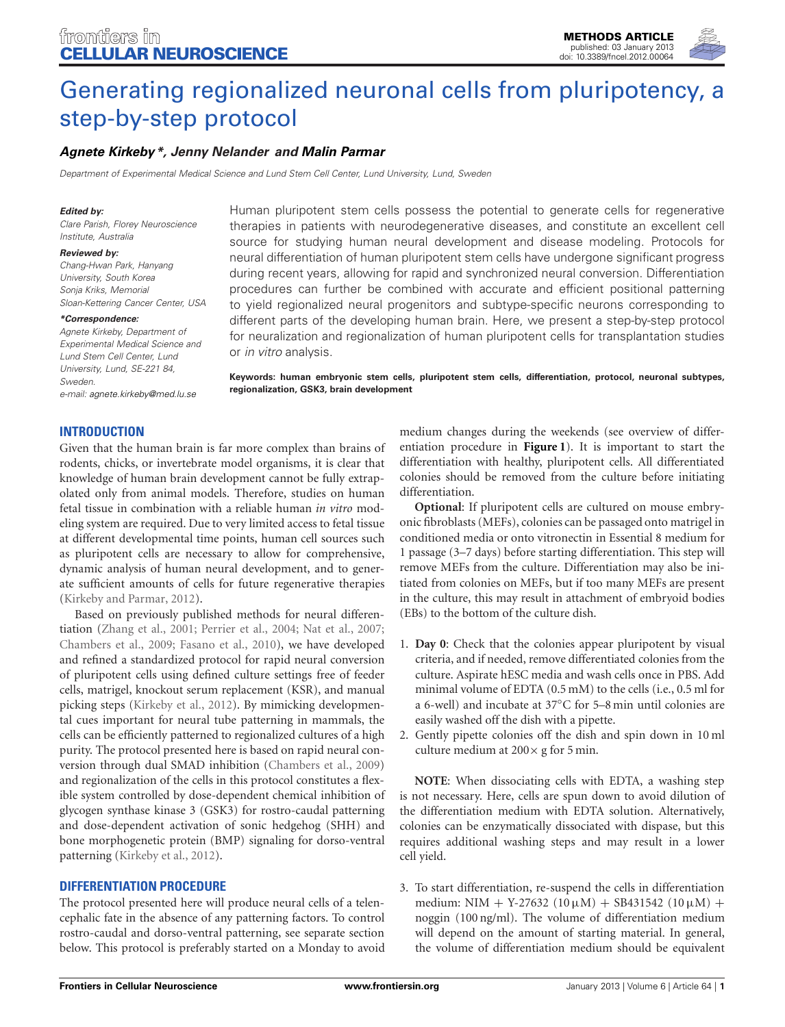

# [Generating regionalized neuronal cells from pluripotency, a](http://www.frontiersin.org/Cellular_Neuroscience/10.3389/fncel.2012.00064/abstract) step-by-step protocol

# *[Agnete Kirkeby](http://www.frontiersin.org/Community/WhosWhoActivity.aspx?sname=AgneteKirkeby&UID=70876)\*, [Jenny Nelander](http://community.frontiersin.org/people/JennyNelander/76164) and [Malin Parmar](http://community.frontiersin.org/people/MalinParmar/76129)*

*Department of Experimental Medical Science and Lund Stem Cell Center, Lund University, Lund, Sweden*

#### *Edited by:*

*Clare Parish, Florey Neuroscience Institute, Australia*

#### *Reviewed by:*

*Chang-Hwan Park, Hanyang University, South Korea Sonja Kriks, Memorial Sloan-Kettering Cancer Center, USA*

#### *\*Correspondence:*

*Agnete Kirkeby, Department of Experimental Medical Science and Lund Stem Cell Center, Lund University, Lund, SE-221 84, Sweden.*

*e-mail: [agnete.kirkeby@med.lu.se](mailto:agnete.kirkeby@med.lu.se)*

Human pluripotent stem cells possess the potential to generate cells for regenerative therapies in patients with neurodegenerative diseases, and constitute an excellent cell source for studying human neural development and disease modeling. Protocols for neural differentiation of human pluripotent stem cells have undergone significant progress during recent years, allowing for rapid and synchronized neural conversion. Differentiation procedures can further be combined with accurate and efficient positional patterning to yield regionalized neural progenitors and subtype-specific neurons corresponding to different parts of the developing human brain. Here, we present a step-by-step protocol for neuralization and regionalization of human pluripotent cells for transplantation studies or *in vitro* analysis.

**Keywords: human embryonic stem cells, pluripotent stem cells, differentiation, protocol, neuronal subtypes, regionalization, GSK3, brain development**

# **INTRODUCTION**

Given that the human brain is far more complex than brains of rodents, chicks, or invertebrate model organisms, it is clear that knowledge of human brain development cannot be fully extrapolated only from animal models. Therefore, studies on human fetal tissue in combination with a reliable human *in vitro* modeling system are required. Due to very limited access to fetal tissue at different developmental time points, human cell sources such as pluripotent cells are necessary to allow for comprehensive, dynamic analysis of human neural development, and to generate sufficient amounts of cells for future regenerative therapies [\(Kirkeby and Parmar](#page-3-0), [2012](#page-3-0)).

Based on previously published methods for neural differentiation [\(Zhang et al., 2001](#page-3-1); [Perrier et al., 2004;](#page-3-2) [Nat et al., 2007;](#page-3-3) [Chambers et al., 2009;](#page-3-4) [Fasano et al., 2010\)](#page-3-5), we have developed and refined a standardized protocol for rapid neural conversion of pluripotent cells using defined culture settings free of feeder cells, matrigel, knockout serum replacement (KSR), and manual picking steps [\(Kirkeby et al., 2012](#page-3-6)). By mimicking developmental cues important for neural tube patterning in mammals, the cells can be efficiently patterned to regionalized cultures of a high purity. The protocol presented here is based on rapid neural conversion through dual SMAD inhibition [\(Chambers et al., 2009](#page-3-4)) and regionalization of the cells in this protocol constitutes a flexible system controlled by dose-dependent chemical inhibition of glycogen synthase kinase 3 (GSK3) for rostro-caudal patterning and dose-dependent activation of sonic hedgehog (SHH) and bone morphogenetic protein (BMP) signaling for dorso-ventral patterning [\(Kirkeby et al.](#page-3-6), [2012](#page-3-6)).

# **DIFFERENTIATION PROCEDURE**

The protocol presented here will produce neural cells of a telencephalic fate in the absence of any patterning factors. To control rostro-caudal and dorso-ventral patterning, see separate section below. This protocol is preferably started on a Monday to avoid

medium changes during the weekends (see overview of differentiation procedure in **[Figure 1](#page-1-0)**). It is important to start the differentiation with healthy, pluripotent cells. All differentiated colonies should be removed from the culture before initiating differentiation.

**Optional**: If pluripotent cells are cultured on mouse embryonic fibroblasts (MEFs), colonies can be passaged onto matrigel in conditioned media or onto vitronectin in Essential 8 medium for 1 passage (3–7 days) before starting differentiation. This step will remove MEFs from the culture. Differentiation may also be initiated from colonies on MEFs, but if too many MEFs are present in the culture, this may result in attachment of embryoid bodies (EBs) to the bottom of the culture dish.

- 1. **Day 0**: Check that the colonies appear pluripotent by visual criteria, and if needed, remove differentiated colonies from the culture. Aspirate hESC media and wash cells once in PBS. Add minimal volume of EDTA (0.5 mM) to the cells (i.e., 0.5 ml for a 6-well) and incubate at 37◦C for 5–8 min until colonies are easily washed off the dish with a pipette.
- 2. Gently pipette colonies off the dish and spin down in 10 ml culture medium at  $200 \times g$  for 5 min.

**NOTE**: When dissociating cells with EDTA, a washing step is not necessary. Here, cells are spun down to avoid dilution of the differentiation medium with EDTA solution. Alternatively, colonies can be enzymatically dissociated with dispase, but this requires additional washing steps and may result in a lower cell yield.

3. To start differentiation, re-suspend the cells in differentiation medium: NIM + Y-27632 (10µM) + SB431542 (10µM) + noggin (100 ng/ml). The volume of differentiation medium will depend on the amount of starting material. In general, the volume of differentiation medium should be equivalent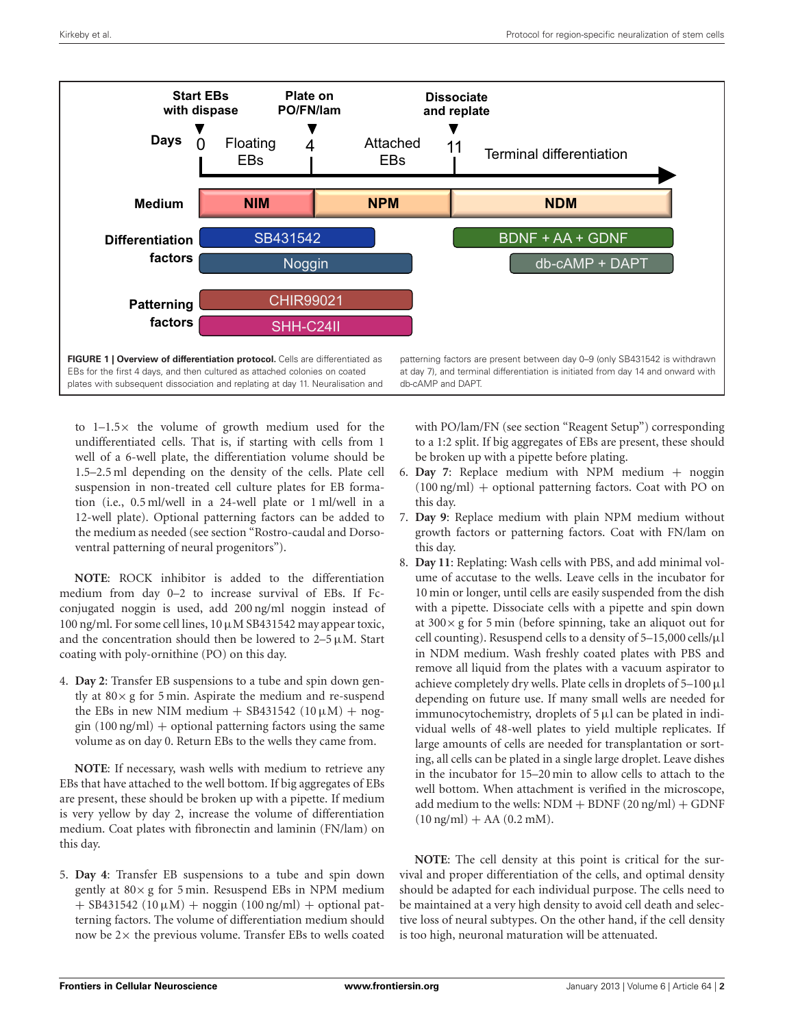

<span id="page-1-0"></span>to 1–1.5× the volume of growth medium used for the undifferentiated cells. That is, if starting with cells from 1 well of a 6-well plate, the differentiation volume should be 1.5–2.5 ml depending on the density of the cells. Plate cell suspension in non-treated cell culture plates for EB formation (i.e., 0.5 ml/well in a 24-well plate or 1 ml/well in a 12-well plate). Optional patterning factors can be added to the medium as needed (see section "Rostro-caudal and Dorsoventral patterning of neural progenitors").

**NOTE**: ROCK inhibitor is added to the differentiation medium from day 0–2 to increase survival of EBs. If Fcconjugated noggin is used, add 200 ng/ml noggin instead of  $100$  ng/ml. For some cell lines,  $10 \mu M$  SB431542 may appear toxic, and the concentration should then be lowered to  $2-5 \mu M$ . Start coating with poly-ornithine (PO) on this day.

4. **Day 2**: Transfer EB suspensions to a tube and spin down gently at  $80 \times g$  for 5 min. Aspirate the medium and re-suspend the EBs in new NIM medium  $+$  SB431542 (10  $\mu$ M)  $+$  nog- $\sin(100 \text{ ng/ml}) + \text{optional patterning factors using the same}$ volume as on day 0. Return EBs to the wells they came from.

**NOTE**: If necessary, wash wells with medium to retrieve any EBs that have attached to the well bottom. If big aggregates of EBs are present, these should be broken up with a pipette. If medium is very yellow by day 2, increase the volume of differentiation medium. Coat plates with fibronectin and laminin (FN/lam) on this day.

5. **Day 4**: Transfer EB suspensions to a tube and spin down gently at  $80 \times g$  for 5 min. Resuspend EBs in NPM medium  $+$  SB431542 (10  $\mu$ M) + noggin (100 ng/ml) + optional patterning factors. The volume of differentiation medium should now be  $2\times$  the previous volume. Transfer EBs to wells coated

with PO/lam/FN (see section "Reagent Setup") corresponding to a 1:2 split. If big aggregates of EBs are present, these should be broken up with a pipette before plating.

- 6. **Day 7**: Replace medium with NPM medium + noggin (100 ng/ml) + optional patterning factors. Coat with PO on this day.
- 7. **Day 9**: Replace medium with plain NPM medium without growth factors or patterning factors. Coat with FN/lam on this day.
- 8. **Day 11**: Replating: Wash cells with PBS, and add minimal volume of accutase to the wells. Leave cells in the incubator for 10 min or longer, until cells are easily suspended from the dish with a pipette. Dissociate cells with a pipette and spin down at 300× g for 5 min (before spinning, take an aliquot out for cell counting). Resuspend cells to a density of 5–15,000 cells/μl in NDM medium. Wash freshly coated plates with PBS and remove all liquid from the plates with a vacuum aspirator to achieve completely dry wells. Plate cells in droplets of  $5-100 \mu$ l depending on future use. If many small wells are needed for immunocytochemistry, droplets of  $5 \mu l$  can be plated in individual wells of 48-well plates to yield multiple replicates. If large amounts of cells are needed for transplantation or sorting, all cells can be plated in a single large droplet. Leave dishes in the incubator for 15–20 min to allow cells to attach to the well bottom. When attachment is verified in the microscope, add medium to the wells:  $NDM + BDNF (20 ng/ml) + GDNF$  $(10 \text{ ng/ml}) + AA (0.2 \text{ mM}).$

**NOTE**: The cell density at this point is critical for the survival and proper differentiation of the cells, and optimal density should be adapted for each individual purpose. The cells need to be maintained at a very high density to avoid cell death and selective loss of neural subtypes. On the other hand, if the cell density is too high, neuronal maturation will be attenuated.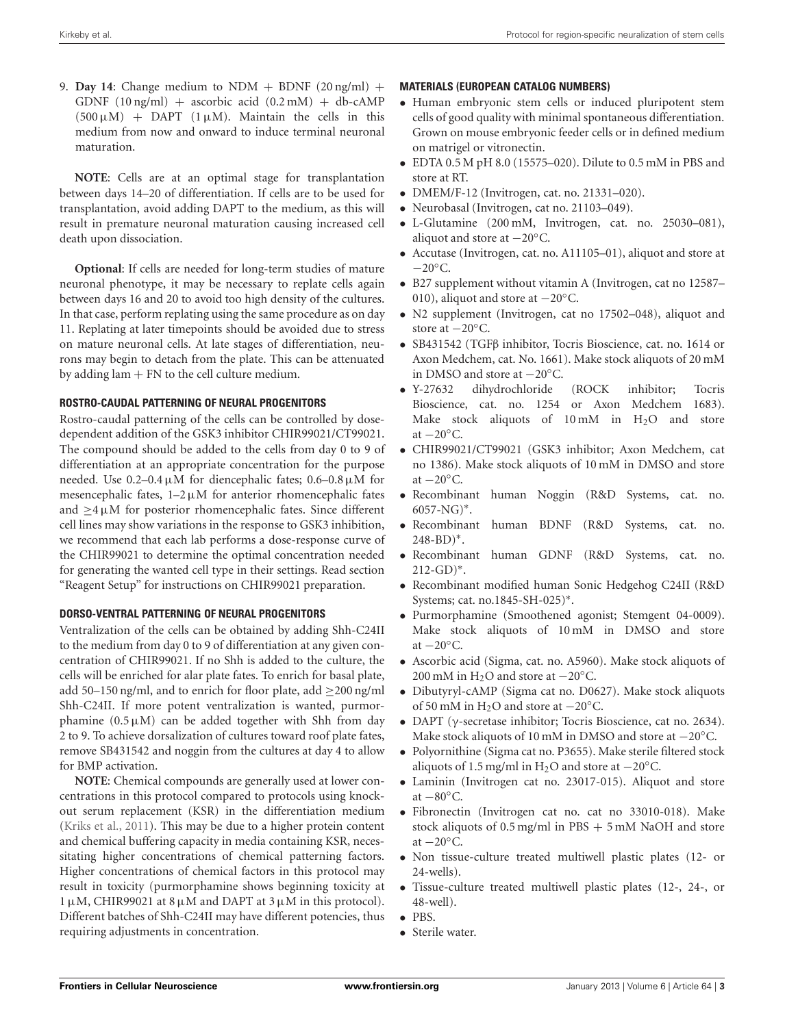9. **Day 14:** Change medium to NDM + BDNF  $(20 \text{ ng/ml})$  + GDNF  $(10 \nmid g/ml)$  + ascorbic acid  $(0.2 \nmid m)$  + db-cAMP  $(500 \,\mu\text{M})$  + DAPT  $(1 \,\mu\text{M})$ . Maintain the cells in this medium from now and onward to induce terminal neuronal maturation.

**NOTE**: Cells are at an optimal stage for transplantation between days 14–20 of differentiation. If cells are to be used for transplantation, avoid adding DAPT to the medium, as this will result in premature neuronal maturation causing increased cell death upon dissociation.

**Optional**: If cells are needed for long-term studies of mature neuronal phenotype, it may be necessary to replate cells again between days 16 and 20 to avoid too high density of the cultures. In that case, perform replating using the same procedure as on day 11. Replating at later timepoints should be avoided due to stress on mature neuronal cells. At late stages of differentiation, neurons may begin to detach from the plate. This can be attenuated by adding  $\text{lam} + \text{FN}$  to the cell culture medium.

#### **ROSTRO-CAUDAL PATTERNING OF NEURAL PROGENITORS**

Rostro-caudal patterning of the cells can be controlled by dosedependent addition of the GSK3 inhibitor CHIR99021/CT99021. The compound should be added to the cells from day 0 to 9 of differentiation at an appropriate concentration for the purpose needed. Use  $0.2-0.4 \mu M$  for diencephalic fates;  $0.6-0.8 \mu M$  for mesencephalic fates,  $1-2 \mu M$  for anterior rhomencephalic fates and  $>4 \mu$ M for posterior rhomencephalic fates. Since different cell lines may show variations in the response to GSK3 inhibition, we recommend that each lab performs a dose-response curve of the CHIR99021 to determine the optimal concentration needed for generating the wanted cell type in their settings. Read section "Reagent Setup" for instructions on CHIR99021 preparation.

# **DORSO-VENTRAL PATTERNING OF NEURAL PROGENITORS**

Ventralization of the cells can be obtained by adding Shh-C24II to the medium from day 0 to 9 of differentiation at any given concentration of CHIR99021. If no Shh is added to the culture, the cells will be enriched for alar plate fates. To enrich for basal plate, add 50–150 ng/ml, and to enrich for floor plate, add  $\geq$ 200 ng/ml Shh-C24II. If more potent ventralization is wanted, purmorphamine  $(0.5 \mu M)$  can be added together with Shh from day 2 to 9. To achieve dorsalization of cultures toward roof plate fates, remove SB431542 and noggin from the cultures at day 4 to allow for BMP activation.

**NOTE**: Chemical compounds are generally used at lower concentrations in this protocol compared to protocols using knockout serum replacement (KSR) in the differentiation medium [\(Kriks et al.](#page-3-7), [2011](#page-3-7)). This may be due to a higher protein content and chemical buffering capacity in media containing KSR, necessitating higher concentrations of chemical patterning factors. Higher concentrations of chemical factors in this protocol may result in toxicity (purmorphamine shows beginning toxicity at 1 μM, CHIR99021 at 8 μM and DAPT at 3μM in this protocol). Different batches of Shh-C24II may have different potencies, thus requiring adjustments in concentration.

## **MATERIALS (EUROPEAN CATALOG NUMBERS)**

- Human embryonic stem cells or induced pluripotent stem cells of good quality with minimal spontaneous differentiation. Grown on mouse embryonic feeder cells or in defined medium on matrigel or vitronectin.
- EDTA 0.5 M pH 8.0 (15575–020). Dilute to 0.5 mM in PBS and store at RT.
- DMEM/F-12 (Invitrogen, cat. no. 21331–020).
- Neurobasal (Invitrogen, cat no. 21103–049).
- L-Glutamine (200 mM, Invitrogen, cat. no. 25030–081), aliquot and store at −20◦C.
- Accutase (Invitrogen, cat. no. A11105–01), aliquot and store at  $-20^\circ C$ .
- B27 supplement without vitamin A (Invitrogen, cat no 12587– 010), aliquot and store at −20◦C.
- N2 supplement (Invitrogen, cat no 17502–048), aliquot and store at −20◦C.
- SB431542 (TGFβ inhibitor, Tocris Bioscience, cat. no. 1614 or Axon Medchem, cat. No. 1661). Make stock aliquots of 20 mM in DMSO and store at  $-20^\circ$ C.<br>• Y-27632 dihydrochloride
- Y-27632 dihydrochloride (ROCK inhibitor; Tocris Bioscience, cat. no. 1254 or Axon Medchem 1683). Make stock aliquots of  $10 \text{ mM}$  in  $H_2O$  and store at  $-20^\circ$ C.
- CHIR99021/CT99021 (GSK3 inhibitor; Axon Medchem, cat no 1386). Make stock aliquots of 10 mM in DMSO and store at  $-20^{\circ}$ C.
- Recombinant human Noggin (R&D Systems, cat. no.  $6057-NG$ <sup>\*</sup>.
- Recombinant human BDNF (R&D Systems, cat. no. 248-BD)∗.
- Recombinant human GDNF (R&D Systems, cat. no.  $212$ -GD) $*$ .
- Recombinant modified human Sonic Hedgehog C24II (R&D Systems; cat. no.1845-SH-025)∗.
- Purmorphamine (Smoothened agonist; Stemgent 04-0009). Make stock aliquots of 10 mM in DMSO and store at  $-20^{\circ}$ C.
- Ascorbic acid (Sigma, cat. no. A5960). Make stock aliquots of 200 mM in H<sub>2</sub>O and store at  $-20^{\circ}$ C.
- Dibutyryl-cAMP (Sigma cat no. D0627). Make stock aliquots of 50 mM in H<sub>2</sub>O and store at  $-20$ °C.
- DAPT (γ-secretase inhibitor; Tocris Bioscience, cat no. 2634). Make stock aliquots of 10 mM in DMSO and store at −20◦C.
- Polyornithine (Sigma cat no. P3655). Make sterile filtered stock aliquots of 1.5 mg/ml in H<sub>2</sub>O and store at  $-20^{\circ}$ C.
- Laminin (Invitrogen cat no. 23017-015). Aliquot and store at  $-80^{\circ}$ C.
- Fibronectin (Invitrogen cat no. cat no 33010-018). Make stock aliquots of  $0.5 \text{ mg/ml}$  in PBS  $+5 \text{ mM}$  NaOH and store at  $-20^{\circ}$ C.
- Non tissue-culture treated multiwell plastic plates (12- or 24-wells).
- Tissue-culture treated multiwell plastic plates (12-, 24-, or 48-well).
- PBS.
- Sterile water.